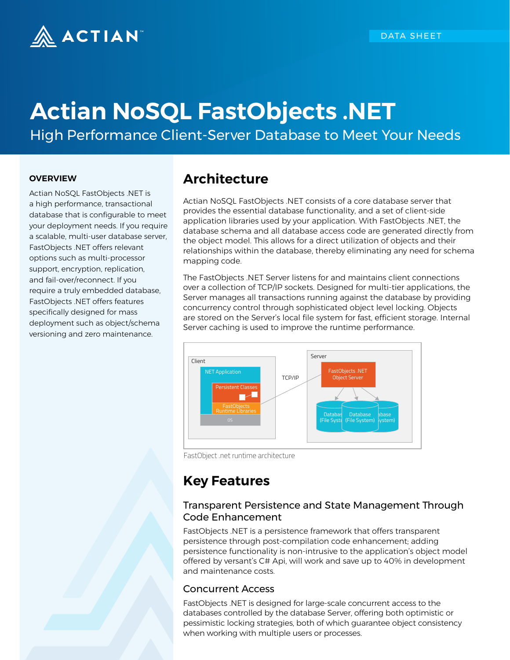

# **Actian NoSQL FastObjects .NET**

High Performance Client-Server Database to Meet Your Needs

#### **OVERVIEW**

Actian NoSQL FastObjects .NET is a high performance, transactional database that is configurable to meet your deployment needs. If you require a scalable, multi-user database server, FastObjects .NET offers relevant options such as multi-processor support, encryption, replication, and fail-over/reconnect. If you require a truly embedded database, FastObjects .NET offers features specifically designed for mass deployment such as object/schema versioning and zero maintenance.

## **Architecture**

Actian NoSQL FastObjects .NET consists of a core database server that provides the essential database functionality, and a set of client-side application libraries used by your application. With FastObjects .NET, the database schema and all database access code are generated directly from the object model. This allows for a direct utilization of objects and their relationships within the database, thereby eliminating any need for schema mapping code.

The FastObjects .NET Server listens for and maintains client connections over a collection of TCP/IP sockets. Designed for multi-tier applications, the Server manages all transactions running against the database by providing concurrency control through sophisticated object level locking. Objects are stored on the Server's local file system for fast, efficient storage. Internal Server caching is used to improve the runtime performance.



FastObject .net runtime architecture

# **Key Features**

#### Transparent Persistence and State Management Through Code Enhancement

FastObjects .NET is a persistence framework that offers transparent persistence through post-compilation code enhancement; adding persistence functionality is non-intrusive to the application's object model offered by versant's C# Api, will work and save up to 40% in development and maintenance costs.

#### Concurrent Access

FastObjects .NET is designed for large-scale concurrent access to the databases controlled by the database Server, offering both optimistic or pessimistic locking strategies, both of which guarantee object consistency when working with multiple users or processes.